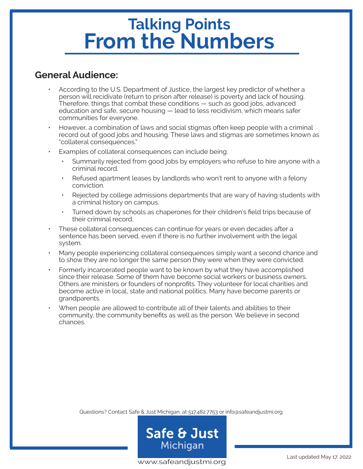# **Talking Points From the Numbers**

### **General Audience:**

- According to the U.S. Department of Justice, the largest key predictor of whether a person will recidivate (return to prison after release) is poverty and lack of housing. Therefore, things that combat these conditions — such as good jobs, advanced education and safe, secure housing — lead to less recidivism, which means safer communities for everyone.
- However, a combination of laws and social stigmas often keep people with a criminal record out of good jobs and housing. These laws and stigmas are sometimes known as "collateral consequences."
- Examples of collateral consequences can include being:
	- Summarily rejected from good jobs by employers who refuse to hire anyone with a criminal record.
	- Refused apartment leases by landlords who won't rent to anyone with a felony conviction.
	- Rejected by college admissions departments that are wary of having students with a criminal history on campus.
	- Turned down by schools as chaperones for their children's field trips because of their criminal record.
- These collateral consequences can continue for years or even decades after a sentence has been served, even if there is no further involvement with the legal system.
- Many people experiencing collateral consequences simply want a second chance and to show they are no longer the same person they were when they were convicted.
- Formerly incarcerated people want to be known by what they have accomplished since their release. Some of them have become social workers or business owners. Others are ministers or founders of nonprofits. They volunteer for local charities and become active in local, state and national politics. Many have become parents or grandparents.
- When people are allowed to contribute all of their talents and abilities to their community, the community benefits as well as the person. We believe in second chances.

Questions? Contact Safe & Just Michigan, at 517.482.7753 or info@safeandjustmi.org



www.safeandjustmi.org<br>www.safeandjustmi.org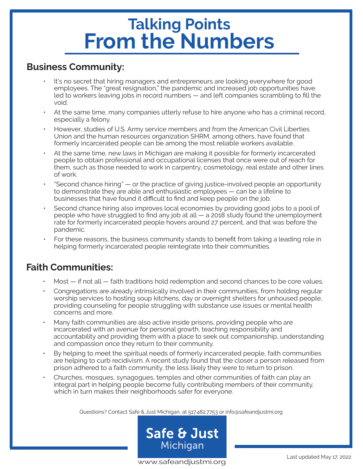# **Talking Points From the Numbers**

### **Business Community:**

- It's no secret that hiring managers and entrepreneurs are looking everywhere for good employees. The "great resignation," the pandemic and increased job opportunities have led to workers leaving jobs in record numbers — and left companies scrambling to fill the void.
- At the same time, many companies utterly refuse to hire anyone who has a criminal record, especially a felony.
- However, studies of U.S. Army service members and from the American Civil Liberties Union and the human resources organization SHRM, among others, have found that formerly incarcerated people can be among the most reliable workers available.
- At the same time, new laws in Michigan are making it possible for formerly incarcerated people to obtain professional and occupational licenses that once were out of reach for them, such as those needed to work in carpentry, cosmetology, real estate and other lines of work.
- "Second chance hiring" or the practice of giving justice-involved people an opportunity to demonstrate they are able and enthusiastic employees — can be a lifeline to businesses that have found it difficult to find and keep people on the job.
- Second chance hiring also improves local economies by providing good jobs to a pool of people who have struggled to find any job at all — a 2018 study found the unemployment rate for formerly incarcerated people hovers around 27 percent, and that was before the pandemic.
- For these reasons, the business community stands to benefit from taking a leading role in helping formerly incarcerated people reintegrate into their communities.

### **Faith Communities:**

- Most if not all faith traditions hold redemption and second chances to be core values.
- Congregations are already intrinsically involved in their communities, from holding regular worship services to hosting soup kitchens, day or overnight shelters for unhoused people, providing counseling for people struggling with substance use issues or mental health concerns and more.
- Many faith communities are also active inside prisons, providing people who are incarcerated with an avenue for personal growth, teaching responsibility and accountability and providing them with a place to seek out companionship, understanding and compassion once they return to their community.
- By helping to meet the spiritual needs of formerly incarcerated people, faith communities are helping to curb recidivism. A recent study found that the closer a person released from prison adhered to a faith community, the less likely they were to return to prison.
- Churches, mosques, synagogues, temples and other communities of faith can play an integral part in helping people become fully contributing members of their community, which in turn makes their neighborhoods safer for everyone.

Questions? Contact Safe & Just Michigan, at 517.482.7753 or info@safeandjustmi.org



www.safeandjustmi.org<br>www.safeandjustmi.org